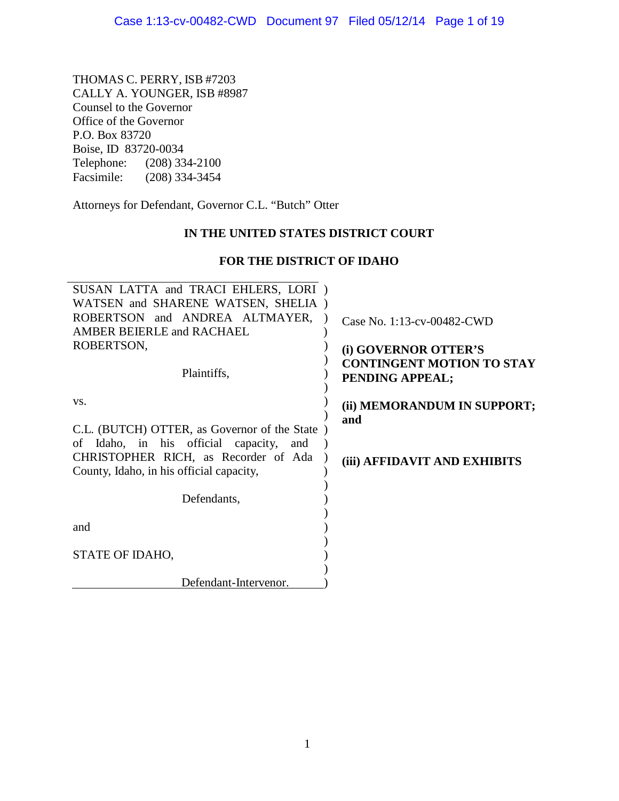THOMAS C. PERRY, ISB #7203 CALLY A. YOUNGER, ISB #8987 Counsel to the Governor Office of the Governor P.O. Box 83720 Boise, ID 83720-0034 Telephone: (208) 334-2100<br>Facsimile: (208) 334-3454  $(208)$  334-3454

Attorneys for Defendant, Governor C.L. "Butch" Otter

# **IN THE UNITED STATES DISTRICT COURT**

# **FOR THE DISTRICT OF IDAHO**

| SUSAN LATTA and TRACI EHLERS, LORI)           |                                                     |
|-----------------------------------------------|-----------------------------------------------------|
| WATSEN and SHARENE WATSEN, SHELIA)            |                                                     |
| ROBERTSON and ANDREA ALTMAYER,                | Case No. 1:13-cv-00482-CWD                          |
| <b>AMBER BEIERLE and RACHAEL</b>              |                                                     |
| ROBERTSON,                                    | (i) GOVERNOR OTTER'S                                |
| Plaintiffs,                                   | <b>CONTINGENT MOTION TO STAY</b><br>PENDING APPEAL; |
| VS.                                           | (ii) MEMORANDUM IN SUPPORT;<br>and                  |
| C.L. (BUTCH) OTTER, as Governor of the State) |                                                     |
| of Idaho, in his official capacity, and       |                                                     |
| CHRISTOPHER RICH, as Recorder of Ada          | (iii) AFFIDAVIT AND EXHIBITS                        |
| County, Idaho, in his official capacity,      |                                                     |
|                                               |                                                     |
| Defendants,                                   |                                                     |
|                                               |                                                     |
| and                                           |                                                     |
| STATE OF IDAHO,                               |                                                     |
| Defendant-Intervenor.                         |                                                     |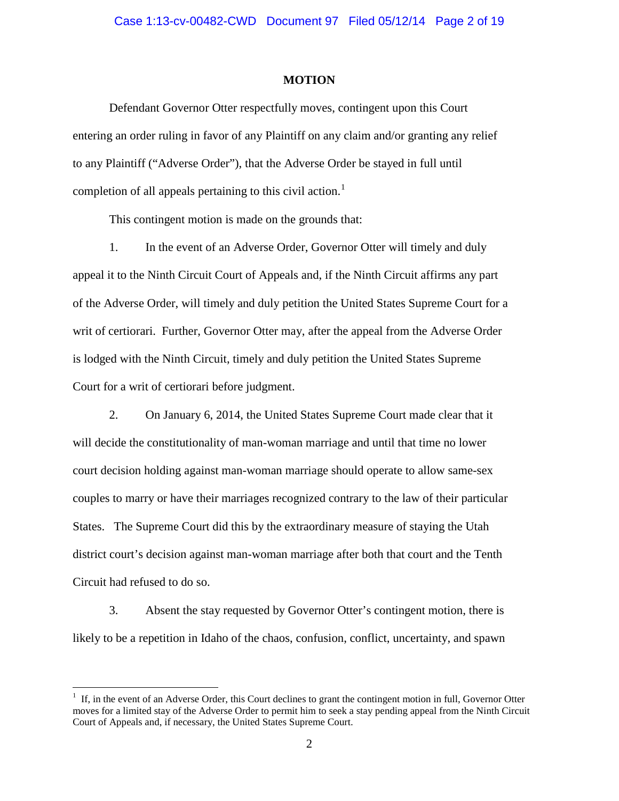### **MOTION**

Defendant Governor Otter respectfully moves, contingent upon this Court entering an order ruling in favor of any Plaintiff on any claim and/or granting any relief to any Plaintiff ("Adverse Order"), that the Adverse Order be stayed in full until completion of all appeals pertaining to this civil action.<sup>[1](#page-1-0)</sup>

This contingent motion is made on the grounds that:

1. In the event of an Adverse Order, Governor Otter will timely and duly appeal it to the Ninth Circuit Court of Appeals and, if the Ninth Circuit affirms any part of the Adverse Order, will timely and duly petition the United States Supreme Court for a writ of certiorari. Further, Governor Otter may, after the appeal from the Adverse Order is lodged with the Ninth Circuit, timely and duly petition the United States Supreme Court for a writ of certiorari before judgment.

2. On January 6, 2014, the United States Supreme Court made clear that it will decide the constitutionality of man-woman marriage and until that time no lower court decision holding against man-woman marriage should operate to allow same-sex couples to marry or have their marriages recognized contrary to the law of their particular States. The Supreme Court did this by the extraordinary measure of staying the Utah district court's decision against man-woman marriage after both that court and the Tenth Circuit had refused to do so.

3. Absent the stay requested by Governor Otter's contingent motion, there is likely to be a repetition in Idaho of the chaos, confusion, conflict, uncertainty, and spawn

<span id="page-1-0"></span> $\frac{1}{1}$  $<sup>1</sup>$  If, in the event of an Adverse Order, this Court declines to grant the contingent motion in full, Governor Otter</sup> moves for a limited stay of the Adverse Order to permit him to seek a stay pending appeal from the Ninth Circuit Court of Appeals and, if necessary, the United States Supreme Court.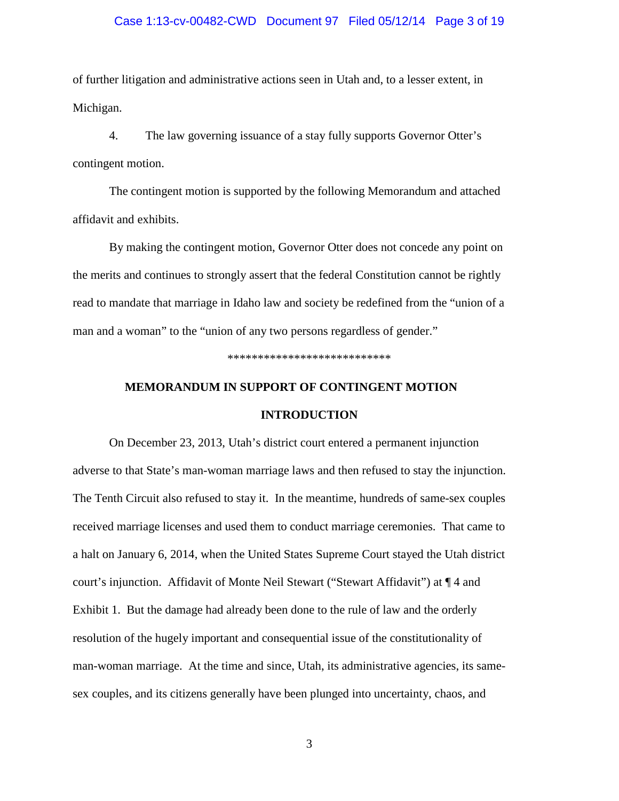# Case 1:13-cv-00482-CWD Document 97 Filed 05/12/14 Page 3 of 19

of further litigation and administrative actions seen in Utah and, to a lesser extent, in Michigan.

4. The law governing issuance of a stay fully supports Governor Otter's contingent motion.

The contingent motion is supported by the following Memorandum and attached affidavit and exhibits.

By making the contingent motion, Governor Otter does not concede any point on the merits and continues to strongly assert that the federal Constitution cannot be rightly read to mandate that marriage in Idaho law and society be redefined from the "union of a man and a woman" to the "union of any two persons regardless of gender."

\*\*\*\*\*\*\*\*\*\*\*\*\*\*\*\*\*\*\*\*\*\*\*\*\*\*\*

# **MEMORANDUM IN SUPPORT OF CONTINGENT MOTION INTRODUCTION**

On December 23, 2013, Utah's district court entered a permanent injunction adverse to that State's man-woman marriage laws and then refused to stay the injunction. The Tenth Circuit also refused to stay it. In the meantime, hundreds of same-sex couples received marriage licenses and used them to conduct marriage ceremonies. That came to a halt on January 6, 2014, when the United States Supreme Court stayed the Utah district court's injunction. Affidavit of Monte Neil Stewart ("Stewart Affidavit") at ¶ 4 and Exhibit 1. But the damage had already been done to the rule of law and the orderly resolution of the hugely important and consequential issue of the constitutionality of man-woman marriage. At the time and since, Utah, its administrative agencies, its samesex couples, and its citizens generally have been plunged into uncertainty, chaos, and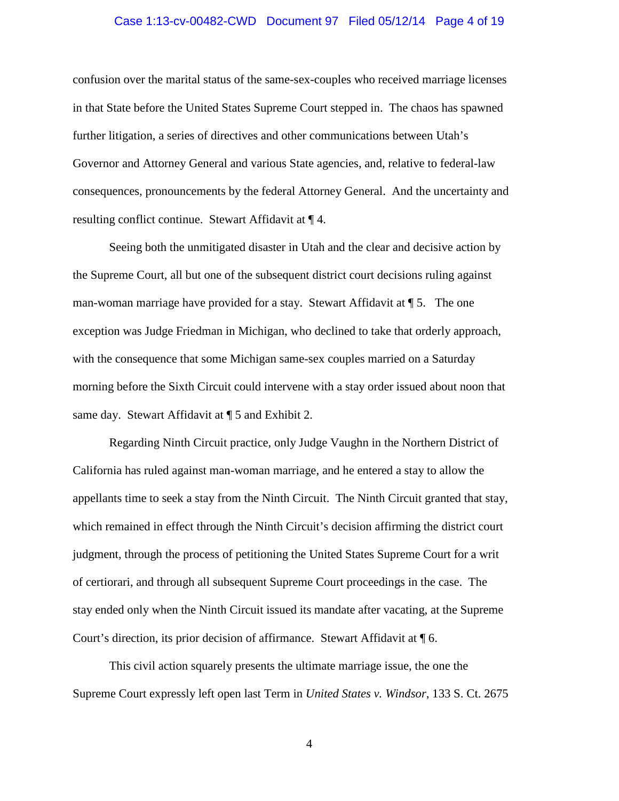# Case 1:13-cv-00482-CWD Document 97 Filed 05/12/14 Page 4 of 19

confusion over the marital status of the same-sex-couples who received marriage licenses in that State before the United States Supreme Court stepped in. The chaos has spawned further litigation, a series of directives and other communications between Utah's Governor and Attorney General and various State agencies, and, relative to federal-law consequences, pronouncements by the federal Attorney General. And the uncertainty and resulting conflict continue. Stewart Affidavit at ¶ 4.

Seeing both the unmitigated disaster in Utah and the clear and decisive action by the Supreme Court, all but one of the subsequent district court decisions ruling against man-woman marriage have provided for a stay. Stewart Affidavit at ¶ 5. The one exception was Judge Friedman in Michigan, who declined to take that orderly approach, with the consequence that some Michigan same-sex couples married on a Saturday morning before the Sixth Circuit could intervene with a stay order issued about noon that same day. Stewart Affidavit at ¶ 5 and Exhibit 2.

Regarding Ninth Circuit practice, only Judge Vaughn in the Northern District of California has ruled against man-woman marriage, and he entered a stay to allow the appellants time to seek a stay from the Ninth Circuit. The Ninth Circuit granted that stay, which remained in effect through the Ninth Circuit's decision affirming the district court judgment, through the process of petitioning the United States Supreme Court for a writ of certiorari, and through all subsequent Supreme Court proceedings in the case. The stay ended only when the Ninth Circuit issued its mandate after vacating, at the Supreme Court's direction, its prior decision of affirmance. Stewart Affidavit at ¶ 6.

This civil action squarely presents the ultimate marriage issue, the one the Supreme Court expressly left open last Term in *United States v. Windsor*, 133 S. Ct. 2675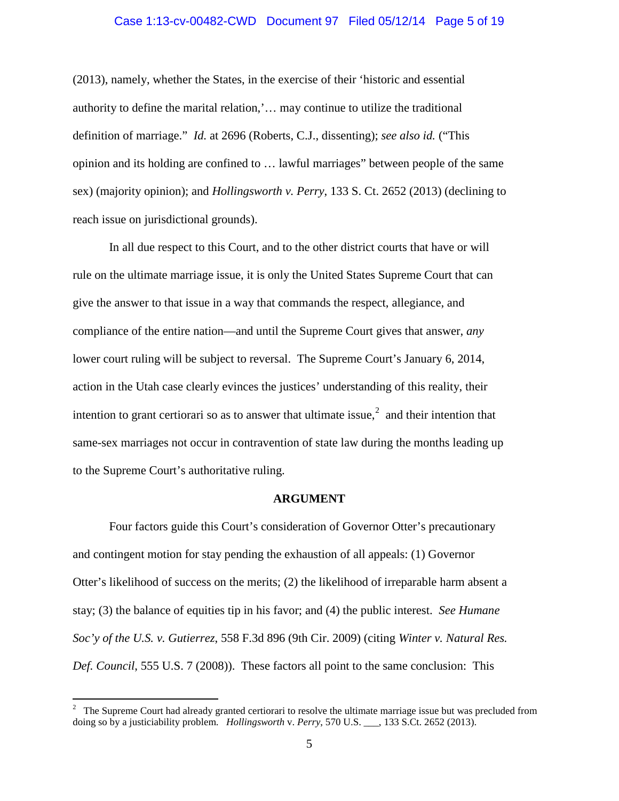### Case 1:13-cv-00482-CWD Document 97 Filed 05/12/14 Page 5 of 19

(2013), namely, whether the States, in the exercise of their 'historic and essential authority to define the marital relation,'… may continue to utilize the traditional definition of marriage." *Id.* at 2696 (Roberts, C.J., dissenting); *see also id.* ("This opinion and its holding are confined to … lawful marriages" between people of the same sex) (majority opinion); and *Hollingsworth v. Perry*, 133 S. Ct. 2652 (2013) (declining to reach issue on jurisdictional grounds).

In all due respect to this Court, and to the other district courts that have or will rule on the ultimate marriage issue, it is only the United States Supreme Court that can give the answer to that issue in a way that commands the respect, allegiance, and compliance of the entire nation—and until the Supreme Court gives that answer, *any* lower court ruling will be subject to reversal. The Supreme Court's January 6, 2014, action in the Utah case clearly evinces the justices' understanding of this reality, their intention to grant certiorari so as to answer that ultimate issue, $2$  and their intention that same-sex marriages not occur in contravention of state law during the months leading up to the Supreme Court's authoritative ruling.

#### **ARGUMENT**

Four factors guide this Court's consideration of Governor Otter's precautionary and contingent motion for stay pending the exhaustion of all appeals: (1) Governor Otter's likelihood of success on the merits; (2) the likelihood of irreparable harm absent a stay; (3) the balance of equities tip in his favor; and (4) the public interest. *See Humane Soc'y of the U.S. v. Gutierrez*, 558 F.3d 896 (9th Cir. 2009) (citing *Winter v. Natural Res. Def. Council*, 555 U.S. 7 (2008)). These factors all point to the same conclusion: This

<span id="page-4-0"></span> $\frac{1}{2}$ <sup>2</sup> The Supreme Court had already granted certiorari to resolve the ultimate marriage issue but was precluded from doing so by a justiciability problem. *Hollingsworth* v. *Perry*, 570 U.S. \_\_\_, 133 S.Ct. 2652 (2013).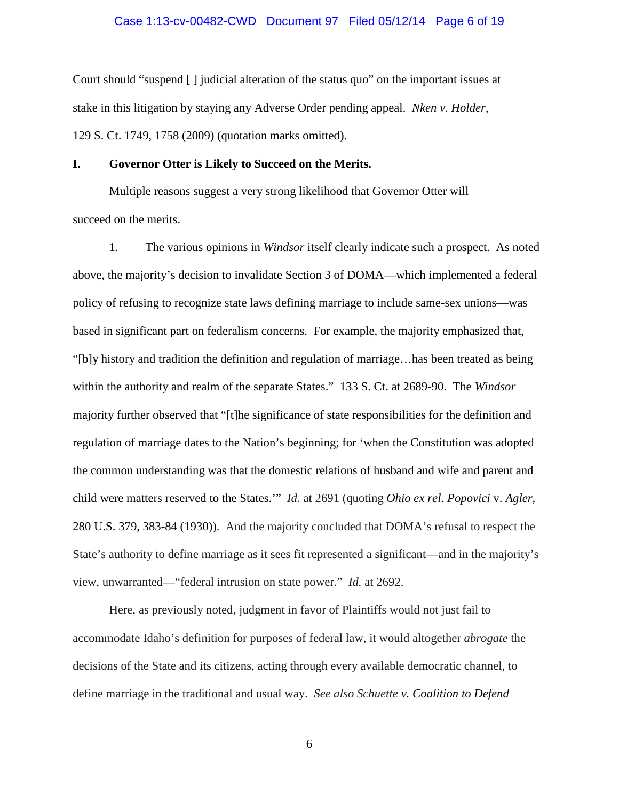# Case 1:13-cv-00482-CWD Document 97 Filed 05/12/14 Page 6 of 19

Court should "suspend [ ] judicial alteration of the status quo" on the important issues at stake in this litigation by staying any Adverse Order pending appeal. *Nken v. Holder*, 129 S. Ct. 1749, 1758 (2009) (quotation marks omitted).

# **I. Governor Otter is Likely to Succeed on the Merits.**

Multiple reasons suggest a very strong likelihood that Governor Otter will succeed on the merits.

1. The various opinions in *Windsor* itself clearly indicate such a prospect. As noted above, the majority's decision to invalidate Section 3 of DOMA—which implemented a federal policy of refusing to recognize state laws defining marriage to include same-sex unions—was based in significant part on federalism concerns. For example, the majority emphasized that, "[b]y history and tradition the definition and regulation of marriage…has been treated as being within the authority and realm of the separate States." 133 S. Ct. at 2689-90. The *Windsor*  majority further observed that "[t]he significance of state responsibilities for the definition and regulation of marriage dates to the Nation's beginning; for 'when the Constitution was adopted the common understanding was that the domestic relations of husband and wife and parent and child were matters reserved to the States.'" *Id.* at 2691 (quoting *Ohio ex rel. Popovici* v. *Agler*, 280 U.S. 379, 383-84 (1930)). And the majority concluded that DOMA's refusal to respect the State's authority to define marriage as it sees fit represented a significant—and in the majority's view, unwarranted—"federal intrusion on state power." *Id.* at 2692.

Here, as previously noted, judgment in favor of Plaintiffs would not just fail to accommodate Idaho's definition for purposes of federal law, it would altogether *abrogate* the decisions of the State and its citizens, acting through every available democratic channel, to define marriage in the traditional and usual way. *See also Schuette v. Coalition to Defend*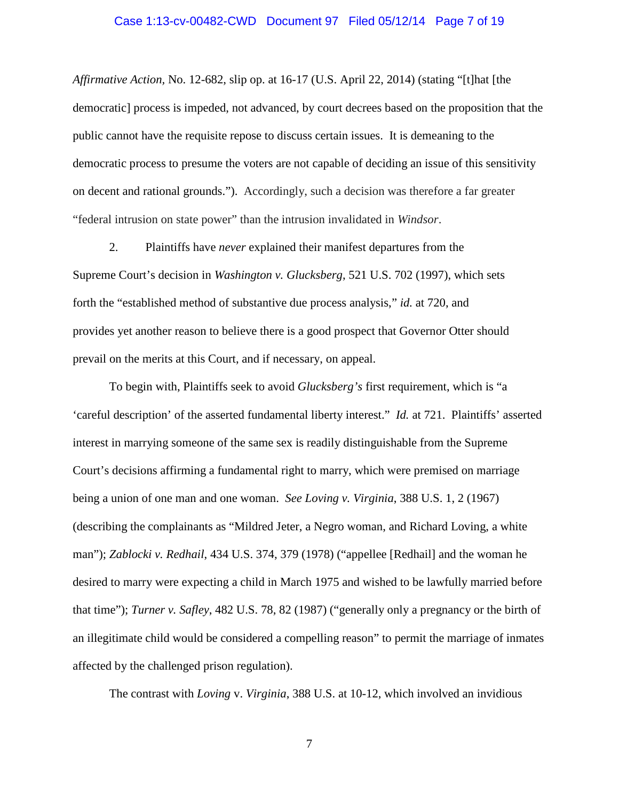# Case 1:13-cv-00482-CWD Document 97 Filed 05/12/14 Page 7 of 19

*Affirmative Action,* No. 12-682, slip op. at 16-17 (U.S. April 22, 2014) (stating "[t]hat [the democratic] process is impeded, not advanced, by court decrees based on the proposition that the public cannot have the requisite repose to discuss certain issues. It is demeaning to the democratic process to presume the voters are not capable of deciding an issue of this sensitivity on decent and rational grounds."). Accordingly, such a decision was therefore a far greater "federal intrusion on state power" than the intrusion invalidated in *Windsor*.

2. Plaintiffs have *never* explained their manifest departures from the Supreme Court's decision in *Washington v. Glucksberg*, 521 U.S. 702 (1997), which sets forth the "established method of substantive due process analysis," *id.* at 720, and provides yet another reason to believe there is a good prospect that Governor Otter should prevail on the merits at this Court, and if necessary, on appeal.

To begin with, Plaintiffs seek to avoid *Glucksberg's* first requirement, which is "a 'careful description' of the asserted fundamental liberty interest." *Id.* at 721. Plaintiffs' asserted interest in marrying someone of the same sex is readily distinguishable from the Supreme Court's decisions affirming a fundamental right to marry, which were premised on marriage being a union of one man and one woman. *See Loving v. Virginia*, 388 U.S. 1, 2 (1967) (describing the complainants as "Mildred Jeter, a Negro woman, and Richard Loving, a white man"); *Zablocki v. Redhail*, 434 U.S. 374, 379 (1978) ("appellee [Redhail] and the woman he desired to marry were expecting a child in March 1975 and wished to be lawfully married before that time"); *Turner v. Safley*, 482 U.S. 78, 82 (1987) ("generally only a pregnancy or the birth of an illegitimate child would be considered a compelling reason" to permit the marriage of inmates affected by the challenged prison regulation).

The contrast with *Loving* v. *Virginia*, 388 U.S. at 10-12, which involved an invidious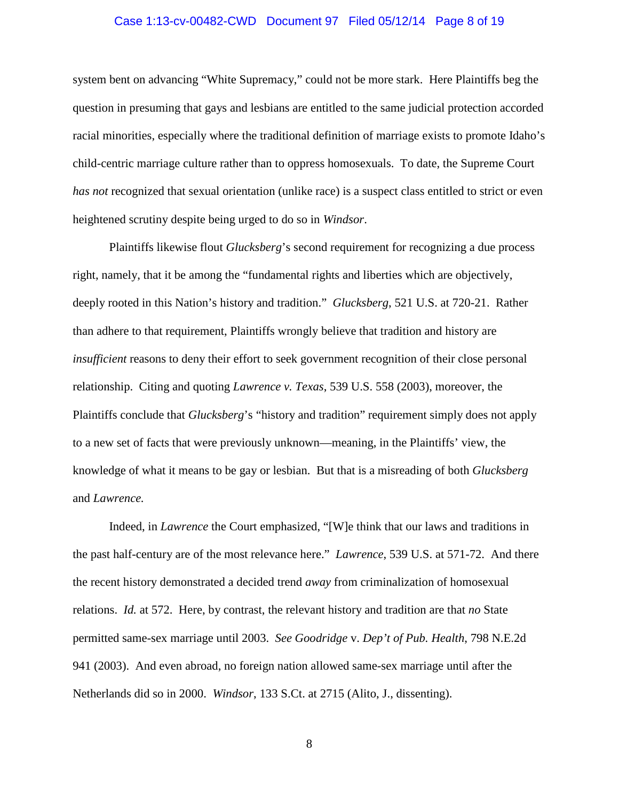# Case 1:13-cv-00482-CWD Document 97 Filed 05/12/14 Page 8 of 19

system bent on advancing "White Supremacy," could not be more stark. Here Plaintiffs beg the question in presuming that gays and lesbians are entitled to the same judicial protection accorded racial minorities, especially where the traditional definition of marriage exists to promote Idaho's child-centric marriage culture rather than to oppress homosexuals. To date, the Supreme Court *has not* recognized that sexual orientation (unlike race) is a suspect class entitled to strict or even heightened scrutiny despite being urged to do so in *Windsor*.

Plaintiffs likewise flout *Glucksberg*'s second requirement for recognizing a due process right, namely, that it be among the "fundamental rights and liberties which are objectively, deeply rooted in this Nation's history and tradition." *Glucksberg*, 521 U.S. at 720-21. Rather than adhere to that requirement, Plaintiffs wrongly believe that tradition and history are *insufficient* reasons to deny their effort to seek government recognition of their close personal relationship. Citing and quoting *Lawrence v. Texas*, 539 U.S. 558 (2003), moreover, the Plaintiffs conclude that *Glucksberg*'s "history and tradition" requirement simply does not apply to a new set of facts that were previously unknown—meaning, in the Plaintiffs' view, the knowledge of what it means to be gay or lesbian. But that is a misreading of both *Glucksberg* and *Lawrence.*

Indeed, in *Lawrence* the Court emphasized, "[W]e think that our laws and traditions in the past half-century are of the most relevance here." *Lawrence*, 539 U.S. at 571-72. And there the recent history demonstrated a decided trend *away* from criminalization of homosexual relations. *Id.* at 572. Here, by contrast, the relevant history and tradition are that *no* State permitted same-sex marriage until 2003. *See Goodridge* v. *Dep't of Pub. Health*, 798 N.E.2d 941 (2003). And even abroad, no foreign nation allowed same-sex marriage until after the Netherlands did so in 2000. *Windsor*, 133 S.Ct. at 2715 (Alito, J., dissenting).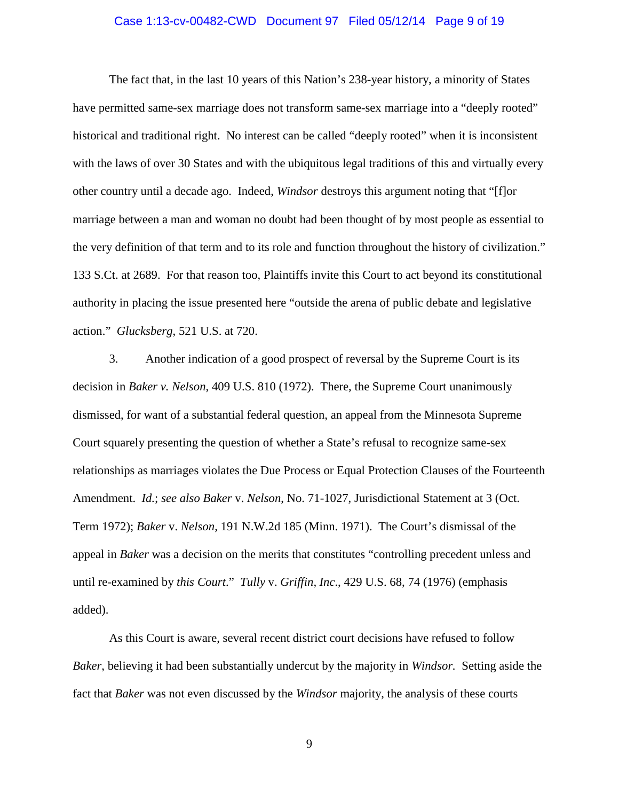# Case 1:13-cv-00482-CWD Document 97 Filed 05/12/14 Page 9 of 19

The fact that, in the last 10 years of this Nation's 238-year history, a minority of States have permitted same-sex marriage does not transform same-sex marriage into a "deeply rooted" historical and traditional right. No interest can be called "deeply rooted" when it is inconsistent with the laws of over 30 States and with the ubiquitous legal traditions of this and virtually every other country until a decade ago. Indeed, *Windsor* destroys this argument noting that "[f]or marriage between a man and woman no doubt had been thought of by most people as essential to the very definition of that term and to its role and function throughout the history of civilization." 133 S.Ct. at 2689. For that reason too, Plaintiffs invite this Court to act beyond its constitutional authority in placing the issue presented here "outside the arena of public debate and legislative action." *Glucksberg*, 521 U.S. at 720.

3. Another indication of a good prospect of reversal by the Supreme Court is its decision in *Baker v. Nelson*, 409 U.S. 810 (1972). There, the Supreme Court unanimously dismissed, for want of a substantial federal question, an appeal from the Minnesota Supreme Court squarely presenting the question of whether a State's refusal to recognize same-sex relationships as marriages violates the Due Process or Equal Protection Clauses of the Fourteenth Amendment. *Id.*; *see also Baker* v. *Nelson*, No. 71-1027, Jurisdictional Statement at 3 (Oct. Term 1972); *Baker* v. *Nelson*, 191 N.W.2d 185 (Minn. 1971). The Court's dismissal of the appeal in *Baker* was a decision on the merits that constitutes "controlling precedent unless and until re-examined by *this Court*." *Tully* v. *Griffin, Inc*., 429 U.S. 68, 74 (1976) (emphasis added).

As this Court is aware, several recent district court decisions have refused to follow *Baker*, believing it had been substantially undercut by the majority in *Windsor.* Setting aside the fact that *Baker* was not even discussed by the *Windsor* majority, the analysis of these courts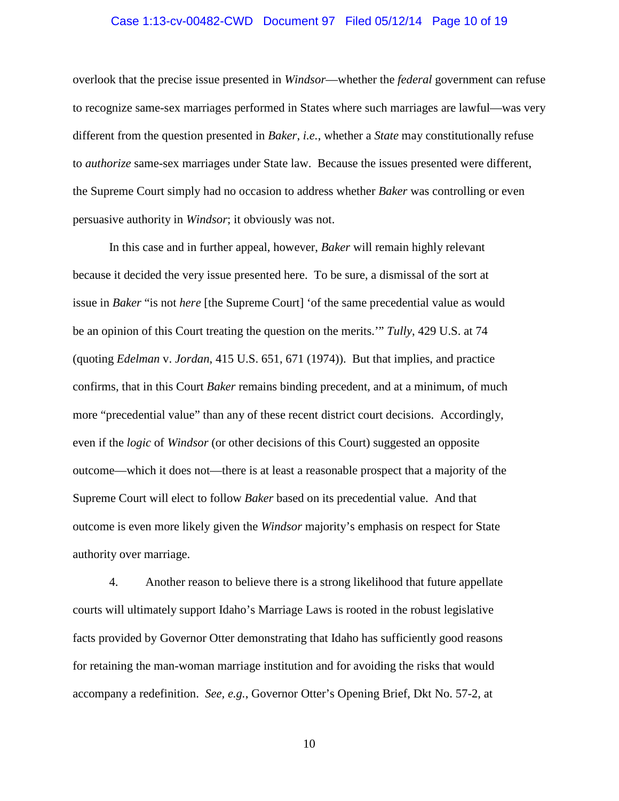# Case 1:13-cv-00482-CWD Document 97 Filed 05/12/14 Page 10 of 19

overlook that the precise issue presented in *Windsor*—whether the *federal* government can refuse to recognize same-sex marriages performed in States where such marriages are lawful—was very different from the question presented in *Baker*, *i.e.*, whether a *State* may constitutionally refuse to *authorize* same-sex marriages under State law. Because the issues presented were different, the Supreme Court simply had no occasion to address whether *Baker* was controlling or even persuasive authority in *Windsor*; it obviously was not.

In this case and in further appeal, however, *Baker* will remain highly relevant because it decided the very issue presented here. To be sure, a dismissal of the sort at issue in *Baker* "is not *here* [the Supreme Court] 'of the same precedential value as would be an opinion of this Court treating the question on the merits.'" *Tully*, 429 U.S. at 74 (quoting *Edelman* v. *Jordan*, 415 U.S. 651, 671 (1974)). But that implies, and practice confirms, that in this Court *Baker* remains binding precedent, and at a minimum, of much more "precedential value" than any of these recent district court decisions. Accordingly, even if the *logic* of *Windsor* (or other decisions of this Court) suggested an opposite outcome—which it does not—there is at least a reasonable prospect that a majority of the Supreme Court will elect to follow *Baker* based on its precedential value. And that outcome is even more likely given the *Windsor* majority's emphasis on respect for State authority over marriage.

4. Another reason to believe there is a strong likelihood that future appellate courts will ultimately support Idaho's Marriage Laws is rooted in the robust legislative facts provided by Governor Otter demonstrating that Idaho has sufficiently good reasons for retaining the man-woman marriage institution and for avoiding the risks that would accompany a redefinition. *See, e.g.*, Governor Otter's Opening Brief, Dkt No. 57-2, at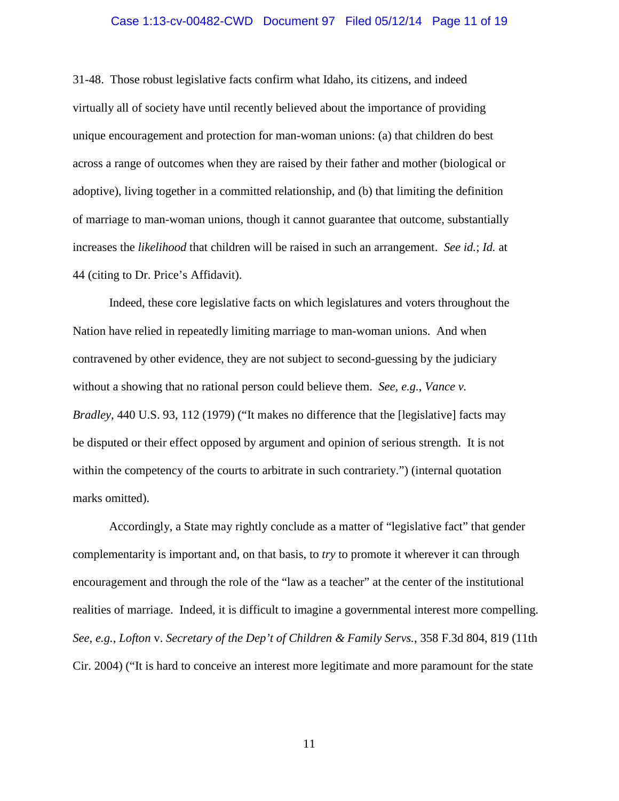#### Case 1:13-cv-00482-CWD Document 97 Filed 05/12/14 Page 11 of 19

31-48. Those robust legislative facts confirm what Idaho, its citizens, and indeed virtually all of society have until recently believed about the importance of providing unique encouragement and protection for man-woman unions: (a) that children do best across a range of outcomes when they are raised by their father and mother (biological or adoptive), living together in a committed relationship, and (b) that limiting the definition of marriage to man-woman unions, though it cannot guarantee that outcome, substantially increases the *likelihood* that children will be raised in such an arrangement. *See id.*; *Id.* at 44 (citing to Dr. Price's Affidavit).

Indeed, these core legislative facts on which legislatures and voters throughout the Nation have relied in repeatedly limiting marriage to man-woman unions. And when contravened by other evidence, they are not subject to second-guessing by the judiciary without a showing that no rational person could believe them. *See, e.g.*, *Vance v. Bradley*, 440 U.S. 93, 112 (1979) ("It makes no difference that the [legislative] facts may be disputed or their effect opposed by argument and opinion of serious strength. It is not within the competency of the courts to arbitrate in such contrariety.") (internal quotation marks omitted).

Accordingly, a State may rightly conclude as a matter of "legislative fact" that gender complementarity is important and, on that basis, to *try* to promote it wherever it can through encouragement and through the role of the "law as a teacher" at the center of the institutional realities of marriage. Indeed, it is difficult to imagine a governmental interest more compelling. *See, e.g.*, *Lofton* v. *[Secretary of the Dep't of Children & Family Servs.](http://web2.westlaw.com/find/default.wl?cite=358+f3d+819&rs=WLW13.10&vr=2.0&rp=%2ffind%2fdefault.wl&utid=1&fn=_top&mt=Utah&sv=Split)*, 358 F.3d 804, 819 (11th [Cir. 2004\)](http://web2.westlaw.com/find/default.wl?cite=358+f3d+819&rs=WLW13.10&vr=2.0&rp=%2ffind%2fdefault.wl&utid=1&fn=_top&mt=Utah&sv=Split) ("It is hard to conceive an interest more legitimate and more paramount for the state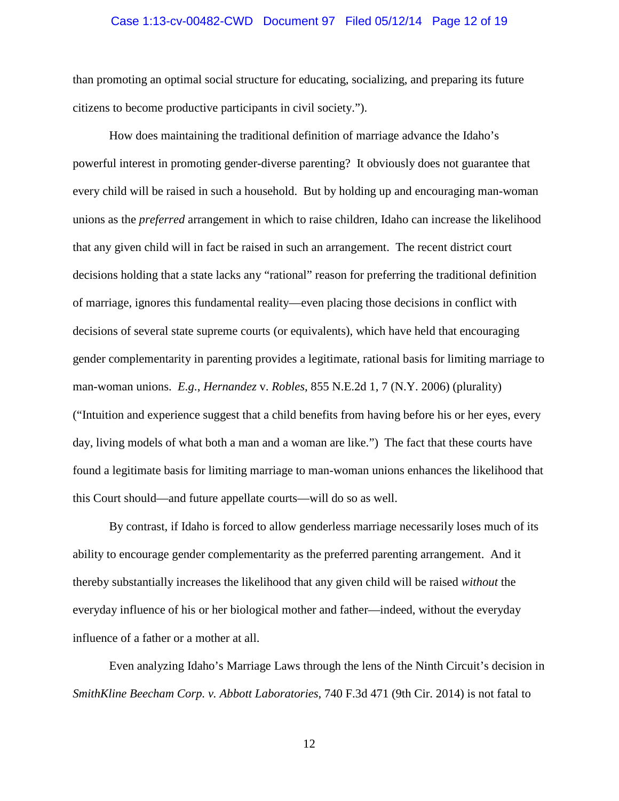# Case 1:13-cv-00482-CWD Document 97 Filed 05/12/14 Page 12 of 19

than promoting an optimal social structure for educating, socializing, and preparing its future citizens to become productive participants in civil society.").

How does maintaining the traditional definition of marriage advance the Idaho's powerful interest in promoting gender-diverse parenting? It obviously does not guarantee that every child will be raised in such a household. But by holding up and encouraging man-woman unions as the *preferred* arrangement in which to raise children, Idaho can increase the likelihood that any given child will in fact be raised in such an arrangement. The recent district court decisions holding that a state lacks any "rational" reason for preferring the traditional definition of marriage, ignores this fundamental reality—even placing those decisions in conflict with decisions of several state supreme courts (or equivalents), which have held that encouraging gender complementarity in parenting provides a legitimate, rational basis for limiting marriage to man-woman unions. *E.g.*, *Hernandez* v. *Robles*, 855 N.E.2d 1, 7 (N.Y. 2006) (plurality) ("Intuition and experience suggest that a child benefits from having before his or her eyes, every day, living models of what both a man and a woman are like.") The fact that these courts have found a legitimate basis for limiting marriage to man-woman unions enhances the likelihood that this Court should—and future appellate courts—will do so as well.

By contrast, if Idaho is forced to allow genderless marriage necessarily loses much of its ability to encourage gender complementarity as the preferred parenting arrangement. And it thereby substantially increases the likelihood that any given child will be raised *without* the everyday influence of his or her biological mother and father—indeed, without the everyday influence of a father or a mother at all.

Even analyzing Idaho's Marriage Laws through the lens of the Ninth Circuit's decision in *SmithKline Beecham Corp. v. Abbott Laboratories*, 740 F.3d 471 (9th Cir. 2014) is not fatal to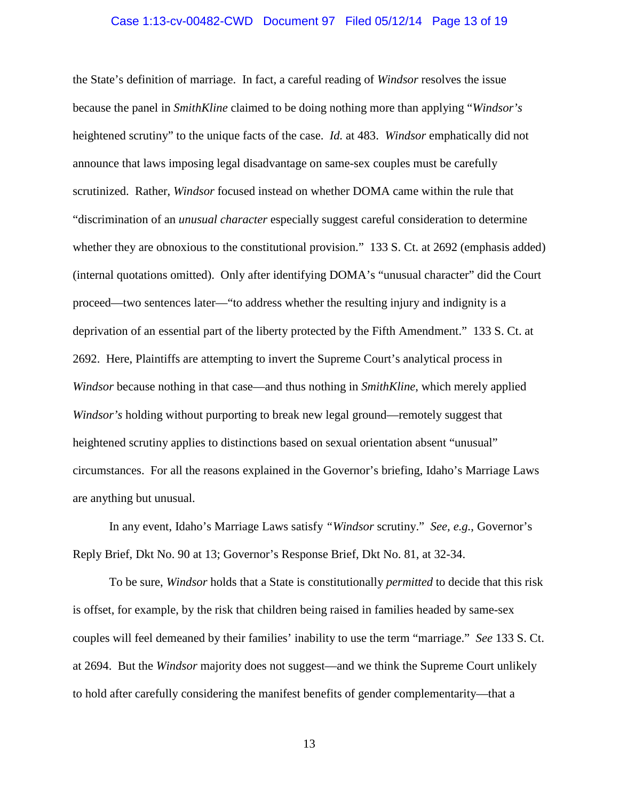# Case 1:13-cv-00482-CWD Document 97 Filed 05/12/14 Page 13 of 19

the State's definition of marriage. In fact, a careful reading of *Windsor* resolves the issue because the panel in *SmithKline* claimed to be doing nothing more than applying "*Windsor's*  heightened scrutiny" to the unique facts of the case. *Id.* at 483. *Windsor* emphatically did not announce that laws imposing legal disadvantage on same-sex couples must be carefully scrutinized. Rather, *Windsor* focused instead on whether DOMA came within the rule that "discrimination of an *unusual character* especially suggest careful consideration to determine whether they are obnoxious to the constitutional provision." 133 S. Ct. at 2692 (emphasis added) (internal quotations omitted). Only after identifying DOMA's "unusual character" did the Court proceed—two sentences later—"to address whether the resulting injury and indignity is a deprivation of an essential part of the liberty protected by the Fifth Amendment." 133 S. Ct. at 2692. Here, Plaintiffs are attempting to invert the Supreme Court's analytical process in *Windsor* because nothing in that case—and thus nothing in *SmithKline*, which merely applied *Windsor's* holding without purporting to break new legal ground—remotely suggest that heightened scrutiny applies to distinctions based on sexual orientation absent "unusual" circumstances. For all the reasons explained in the Governor's briefing, Idaho's Marriage Laws are anything but unusual.

In any event, Idaho's Marriage Laws satisfy *"Windsor* scrutiny." *See, e.g.*, Governor's Reply Brief, Dkt No. 90 at 13; Governor's Response Brief, Dkt No. 81, at 32-34.

To be sure, *Windsor* holds that a State is constitutionally *permitted* to decide that this risk is offset, for example, by the risk that children being raised in families headed by same-sex couples will feel demeaned by their families' inability to use the term "marriage." *See* 133 S. Ct. at 2694. But the *Windsor* majority does not suggest—and we think the Supreme Court unlikely to hold after carefully considering the manifest benefits of gender complementarity—that a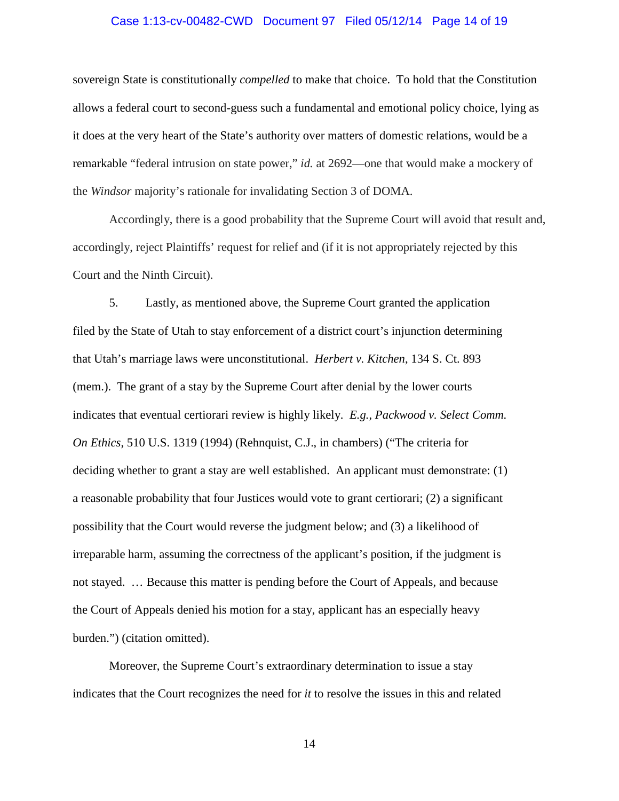# Case 1:13-cv-00482-CWD Document 97 Filed 05/12/14 Page 14 of 19

sovereign State is constitutionally *compelled* to make that choice. To hold that the Constitution allows a federal court to second-guess such a fundamental and emotional policy choice, lying as it does at the very heart of the State's authority over matters of domestic relations, would be a remarkable "federal intrusion on state power," *id.* at 2692—one that would make a mockery of the *Windsor* majority's rationale for invalidating Section 3 of DOMA.

Accordingly, there is a good probability that the Supreme Court will avoid that result and, accordingly, reject Plaintiffs' request for relief and (if it is not appropriately rejected by this Court and the Ninth Circuit).

5. Lastly, as mentioned above, the Supreme Court granted the application filed by the State of Utah to stay enforcement of a district court's injunction determining that Utah's marriage laws were unconstitutional. *Herbert v. Kitchen*, 134 S. Ct. 893 (mem.). The grant of a stay by the Supreme Court after denial by the lower courts indicates that eventual certiorari review is highly likely. *E.g.*, *Packwood v. Select Comm. On Ethics*, 510 U.S. 1319 (1994) (Rehnquist, C.J., in chambers) ("The criteria for deciding whether to grant a stay are well established. An applicant must demonstrate: (1) a reasonable probability that four Justices would vote to grant certiorari; (2) a significant possibility that the Court would reverse the judgment below; and (3) a likelihood of irreparable harm, assuming the correctness of the applicant's position, if the judgment is not stayed. … Because this matter is pending before the Court of Appeals, and because the Court of Appeals denied his motion for a stay, applicant has an especially heavy burden.") (citation omitted).

Moreover, the Supreme Court's extraordinary determination to issue a stay indicates that the Court recognizes the need for *it* to resolve the issues in this and related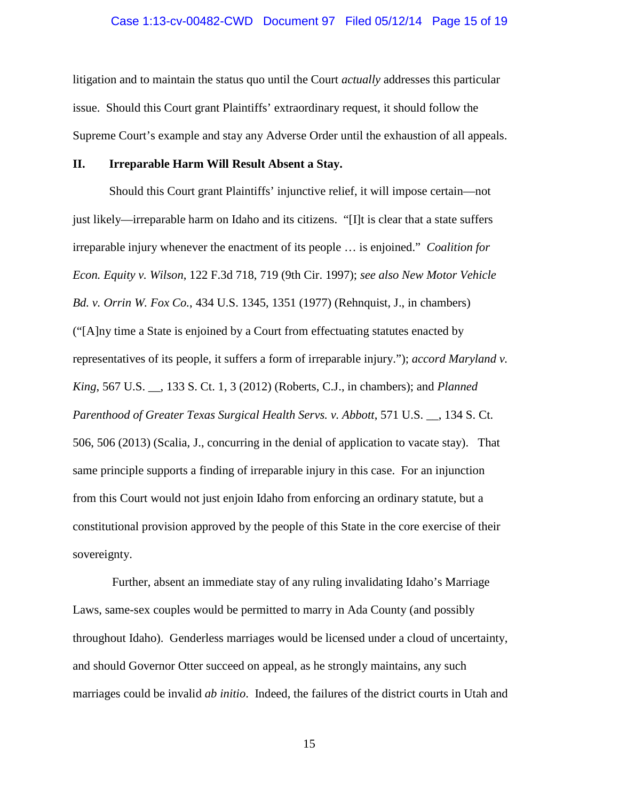# Case 1:13-cv-00482-CWD Document 97 Filed 05/12/14 Page 15 of 19

litigation and to maintain the status quo until the Court *actually* addresses this particular issue. Should this Court grant Plaintiffs' extraordinary request, it should follow the Supreme Court's example and stay any Adverse Order until the exhaustion of all appeals.

# **II. Irreparable Harm Will Result Absent a Stay.**

Should this Court grant Plaintiffs' injunctive relief, it will impose certain—not just likely—irreparable harm on Idaho and its citizens. "[I]t is clear that a state suffers irreparable injury whenever the enactment of its people … is enjoined." *Coalition for Econ. Equity v. Wilson*, 122 F.3d 718, 719 (9th Cir. 1997); *see also New Motor Vehicle Bd. v. Orrin W. Fox Co.*, 434 U.S. 1345, 1351 (1977) (Rehnquist, J., in chambers) ("[A]ny time a State is enjoined by a Court from effectuating statutes enacted by representatives of its people, it suffers a form of irreparable injury."); *accord Maryland v. King*, 567 U.S. \_\_, 133 S. Ct. 1, 3 (2012) (Roberts, C.J., in chambers); and *Planned Parenthood of Greater Texas Surgical Health Servs. v. Abbott*, 571 U.S. \_\_, 134 S. Ct. 506, 506 (2013) (Scalia, J., concurring in the denial of application to vacate stay). That same principle supports a finding of irreparable injury in this case. For an injunction from this Court would not just enjoin Idaho from enforcing an ordinary statute, but a constitutional provision approved by the people of this State in the core exercise of their sovereignty.

Further, absent an immediate stay of any ruling invalidating Idaho's Marriage Laws, same-sex couples would be permitted to marry in Ada County (and possibly throughout Idaho). Genderless marriages would be licensed under a cloud of uncertainty, and should Governor Otter succeed on appeal, as he strongly maintains, any such marriages could be invalid *ab initio*. Indeed, the failures of the district courts in Utah and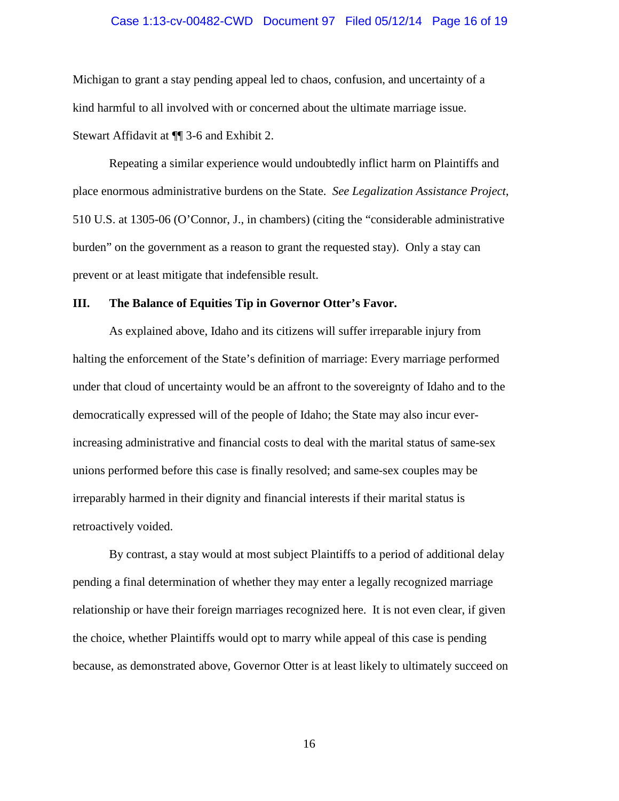#### Case 1:13-cv-00482-CWD Document 97 Filed 05/12/14 Page 16 of 19

Michigan to grant a stay pending appeal led to chaos, confusion, and uncertainty of a kind harmful to all involved with or concerned about the ultimate marriage issue. Stewart Affidavit at ¶¶ 3-6 and Exhibit 2.

Repeating a similar experience would undoubtedly inflict harm on Plaintiffs and place enormous administrative burdens on the State. *See Legalization Assistance Project*, 510 U.S. at 1305-06 (O'Connor, J., in chambers) (citing the "considerable administrative burden" on the government as a reason to grant the requested stay). Only a stay can prevent or at least mitigate that indefensible result.

### **III. The Balance of Equities Tip in Governor Otter's Favor.**

As explained above, Idaho and its citizens will suffer irreparable injury from halting the enforcement of the State's definition of marriage: Every marriage performed under that cloud of uncertainty would be an affront to the sovereignty of Idaho and to the democratically expressed will of the people of Idaho; the State may also incur everincreasing administrative and financial costs to deal with the marital status of same-sex unions performed before this case is finally resolved; and same-sex couples may be irreparably harmed in their dignity and financial interests if their marital status is retroactively voided.

By contrast, a stay would at most subject Plaintiffs to a period of additional delay pending a final determination of whether they may enter a legally recognized marriage relationship or have their foreign marriages recognized here. It is not even clear, if given the choice, whether Plaintiffs would opt to marry while appeal of this case is pending because, as demonstrated above, Governor Otter is at least likely to ultimately succeed on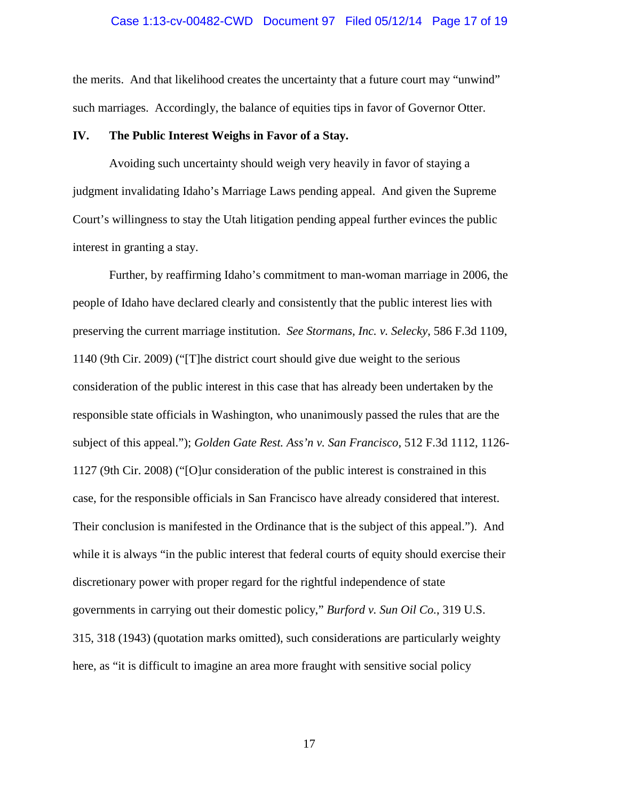#### Case 1:13-cv-00482-CWD Document 97 Filed 05/12/14 Page 17 of 19

the merits. And that likelihood creates the uncertainty that a future court may "unwind" such marriages. Accordingly, the balance of equities tips in favor of Governor Otter.

# **IV. The Public Interest Weighs in Favor of a Stay.**

Avoiding such uncertainty should weigh very heavily in favor of staying a judgment invalidating Idaho's Marriage Laws pending appeal. And given the Supreme Court's willingness to stay the Utah litigation pending appeal further evinces the public interest in granting a stay.

Further, by reaffirming Idaho's commitment to man-woman marriage in 2006, the people of Idaho have declared clearly and consistently that the public interest lies with preserving the current marriage institution. *See Stormans, Inc. v. Selecky*, 586 F.3d 1109, 1140 (9th Cir. 2009) ("[T]he district court should give due weight to the serious consideration of the public interest in this case that has already been undertaken by the responsible state officials in Washington, who unanimously passed the rules that are the subject of this appeal."); *Golden Gate Rest. Ass'n v. San Francisco*, 512 F.3d 1112, 1126- 1127 (9th Cir. 2008) ("[O]ur consideration of the public interest is constrained in this case, for the responsible officials in San Francisco have already considered that interest. Their conclusion is manifested in the Ordinance that is the subject of this appeal."). And while it is always "in the public interest that federal courts of equity should exercise their discretionary power with proper regard for the rightful independence of state governments in carrying out their domestic policy," *Burford v. Sun Oil Co.*, 319 U.S. 315, 318 (1943) (quotation marks omitted), such considerations are particularly weighty here, as "it is difficult to imagine an area more fraught with sensitive social policy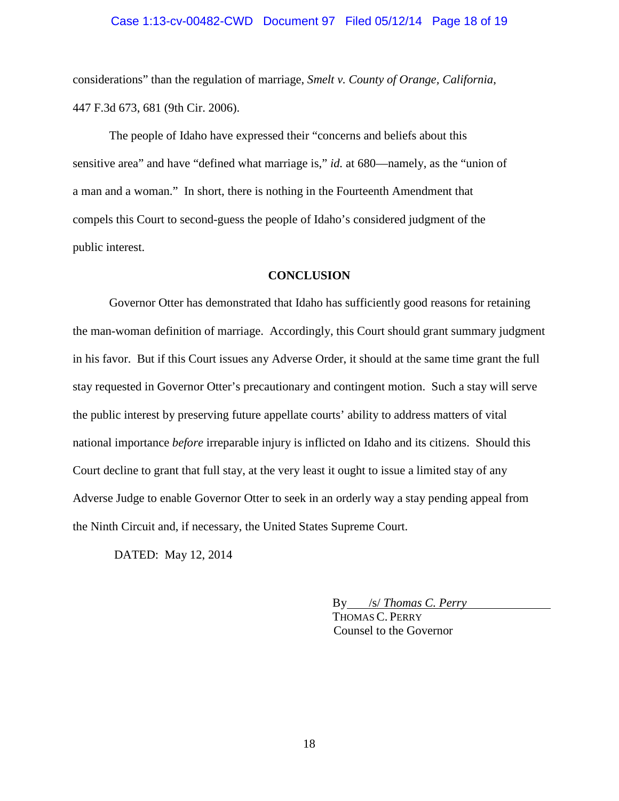# Case 1:13-cv-00482-CWD Document 97 Filed 05/12/14 Page 18 of 19

considerations" than the regulation of marriage, *Smelt v. County of Orange, California*, 447 F.3d 673, 681 (9th Cir. 2006).

The people of Idaho have expressed their "concerns and beliefs about this sensitive area" and have "defined what marriage is," *id.* at 680—namely, as the "union of a man and a woman." In short, there is nothing in the Fourteenth Amendment that compels this Court to second-guess the people of Idaho's considered judgment of the public interest.

# **CONCLUSION**

Governor Otter has demonstrated that Idaho has sufficiently good reasons for retaining the man-woman definition of marriage. Accordingly, this Court should grant summary judgment in his favor. But if this Court issues any Adverse Order, it should at the same time grant the full stay requested in Governor Otter's precautionary and contingent motion. Such a stay will serve the public interest by preserving future appellate courts' ability to address matters of vital national importance *before* irreparable injury is inflicted on Idaho and its citizens. Should this Court decline to grant that full stay, at the very least it ought to issue a limited stay of any Adverse Judge to enable Governor Otter to seek in an orderly way a stay pending appeal from the Ninth Circuit and, if necessary, the United States Supreme Court.

DATED: May 12, 2014

By /s/ *Thomas C. Perry*  THOMAS C. PERRY

Counsel to the Governor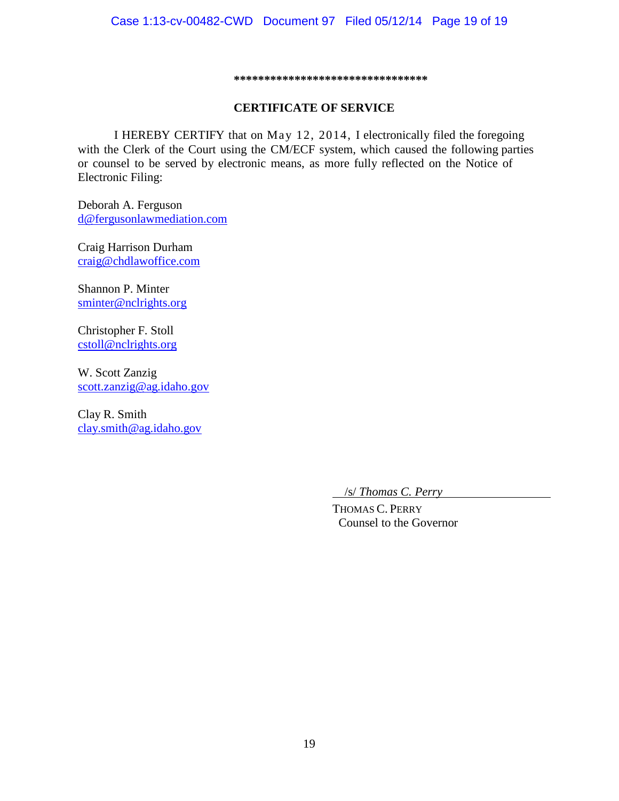#### **\*\*\*\*\*\*\*\*\*\*\*\*\*\*\*\*\*\*\*\*\*\*\*\*\*\*\*\*\*\*\*\***

# **CERTIFICATE OF SERVICE**

I HEREBY CERTIFY that on May 12, 2014, I electronically filed the foregoing with the Clerk of the Court using the CM/ECF system, which caused the following parties or counsel to be served by electronic means, as more fully reflected on the Notice of Electronic Filing:

Deborah A. Ferguson [d@fergusonlawmediation.com](mailto:d@fergusonlawmediation.com)

Craig Harrison Durham [craig@chdlawoffice.com](mailto:craig@chdlawoffice.com)

Shannon P. Minter [sminter@nclrights.org](mailto:sminter@nclrights.org)

Christopher F. Stoll [cstoll@nclrights.org](mailto:cstoll@nclrights.org)

W. Scott Zanzig [scott.zanzig@ag.idaho.gov](mailto:scott.zanzig@ag.idaho.gov)

Clay R. Smith [clay.smith@ag.idaho.gov](mailto:clay.smith@ag.idaho.gov)

/s/ *Thomas C. Perry* 

THOMAS C. PERRY Counsel to the Governor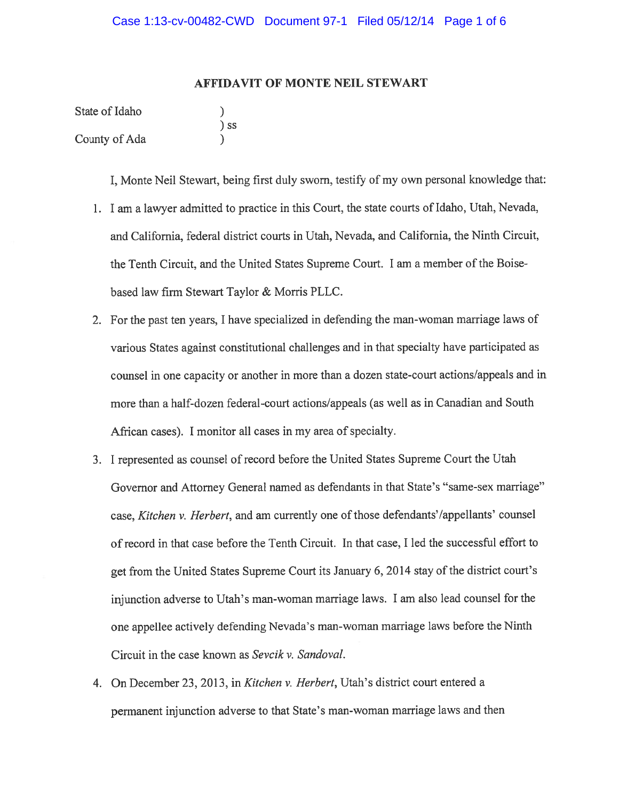# **AFFIDAVIT OF MONTE NEIL STEWART**

| State of Idaho |        |
|----------------|--------|
|                | $)$ SS |
| County of Ada  |        |

I. Monte Neil Stewart, being first duly sworn, testify of my own personal knowledge that:

- 1. I am a lawyer admitted to practice in this Court, the state courts of Idaho, Utah, Nevada, and California, federal district courts in Utah, Nevada, and California, the Ninth Circuit, the Tenth Circuit, and the United States Supreme Court. I am a member of the Boisebased law firm Stewart Taylor & Morris PLLC.
- 2. For the past ten years, I have specialized in defending the man-woman marriage laws of various States against constitutional challenges and in that specialty have participated as counsel in one capacity or another in more than a dozen state-court actions/appeals and in more than a half-dozen federal-court actions/appeals (as well as in Canadian and South African cases). I monitor all cases in my area of specialty.
- 3. I represented as counsel of record before the United States Supreme Court the Utah Governor and Attorney General named as defendants in that State's "same-sex marriage" case, *Kitchen v. Herbert*, and am currently one of those defendants'/appellants' counsel of record in that case before the Tenth Circuit. In that case, I led the successful effort to get from the United States Supreme Court its January 6, 2014 stay of the district court's injunction adverse to Utah's man-woman marriage laws. I am also lead counsel for the one appellee actively defending Nevada's man-woman marriage laws before the Ninth Circuit in the case known as Sevcik v. Sandoval.
- 4. On December 23, 2013, in Kitchen v. Herbert, Utah's district court entered a permanent injunction adverse to that State's man-woman marriage laws and then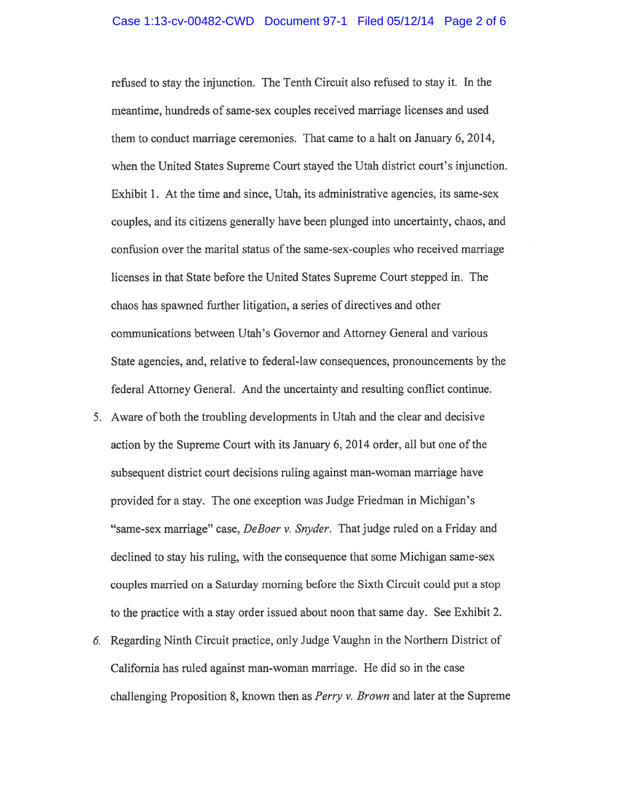refused to stay the injunction. The Tenth Circuit also refused to stay it. In the meantime, hundreds of same-sex couples received marriage licenses and used them to conduct marriage ceremonies. That came to a halt on January 6, 2014, when the United States Supreme Court stayed the Utah district court's injunction. Exhibit 1. At the time and since, Utah, its administrative agencies, its same-sex couples, and its citizens generally have been plunged into uncertainty, chaos, and confusion over the marital status of the same-sex-couples who received marriage licenses in that State before the United States Supreme Court stepped in. The chaos has spawned further litigation, a series of directives and other communications between Utah's Governor and Attorney General and various State agencies, and, relative to federal-law consequences, pronouncements by the federal Attorney General. And the uncertainty and resulting conflict continue.

- 5. Aware of both the troubling developments in Utah and the clear and decisive action by the Supreme Court with its January 6, 2014 order, all but one of the subsequent district court decisions ruling against man-woman marriage have provided for a stay. The one exception was Judge Friedman in Michigan's "same-sex marriage" case, DeBoer v. Snyder. That judge ruled on a Friday and declined to stay his ruling, with the consequence that some Michigan same-sex couples married on a Saturday morning before the Sixth Circuit could put a stop to the practice with a stay order issued about noon that same day. See Exhibit 2.
- 6. Regarding Ninth Circuit practice, only Judge Vaughn in the Northern District of California has ruled against man-woman marriage. He did so in the case challenging Proposition 8, known then as *Perry v. Brown* and later at the Supreme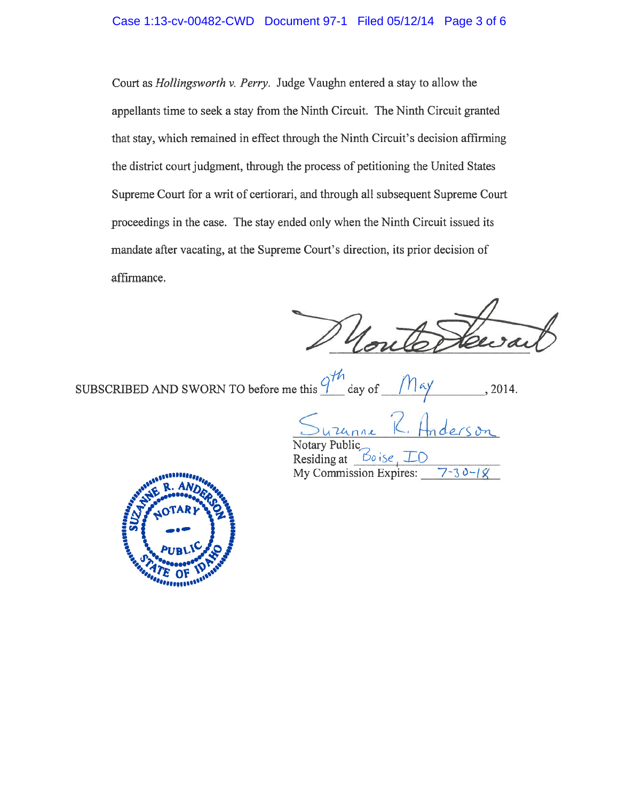# Case 1:13-cv-00482-CWD Document 97-1 Filed 05/12/14 Page 3 of 6

Court as *Hollingsworth v. Perry.* Judge Vaughn entered a stay to allow the appellants time to seek a stay from the Ninth Circuit. The Ninth Circuit granted that stay, which remained in effect through the Ninth Circuit's decision affirming the district court judgment, through the process of petitioning the United States Supreme Court for a writ of certiorari, and through all subsequent Supreme Court proceedings in the case. The stay ended only when the Ninth Circuit issued its mandate after vacating, at the Supreme Court's direction, its prior decision of affirmance.

SUBSCRIBED AND SWORN TO before me this  $\widehat{q}$ day of

> nne Public

Boise Residing at My Commission Expires:  $30 -$ 

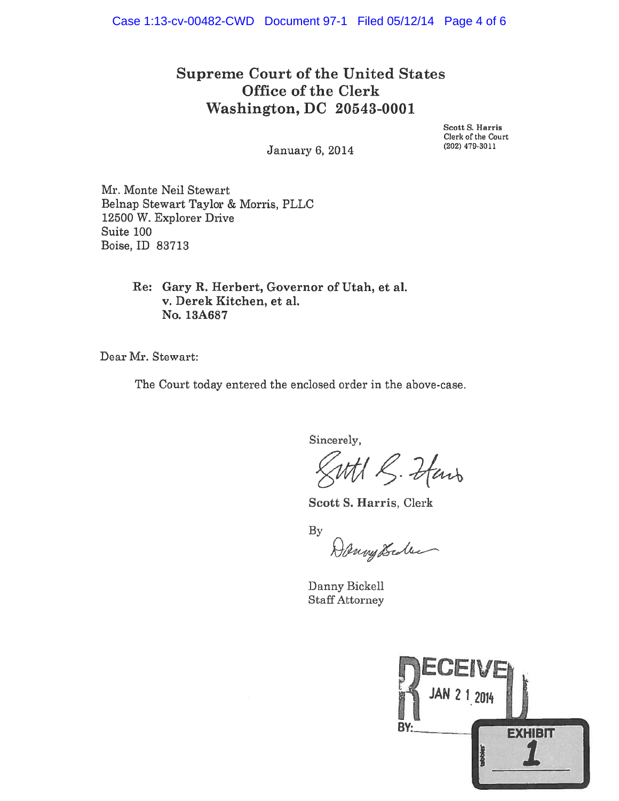# **Supreme Court of the United States** Office of the Clerk Washington, DC 20543-0001

Scott S. Harris Clerk of the Court (202) 479-3011

January 6, 2014

Mr. Monte Neil Stewart Belnap Stewart Taylor & Morris, PLLC 12500 W. Explorer Drive Suite 100 Boise, ID 83713

> Re: Gary R. Herbert, Governor of Utah, et al. v. Derek Kitchen, et al. No. 13A687

Dear Mr. Stewart:

The Court today entered the enclosed order in the above-case.

Sincerely,

With S. Hans

Scott S. Harris, Clerk

 $By$ 

Danny Scolee

Danny Bickell **Staff Attorney** 

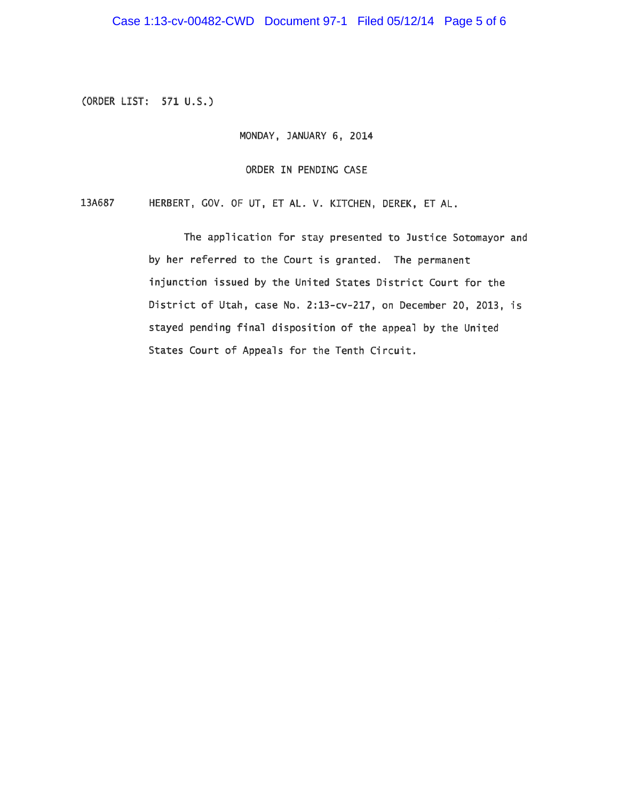(ORDER LIST: 571 U.S.)

MONDAY, JANUARY 6, 2014

ORDER IN PENDING CASE

13A687 HERBERT, GOV. OF UT, ET AL. V. KITCHEN, DEREK, ET AL.

> The application for stay presented to Justice Sotomayor and by her referred to the Court is granted. The permanent injunction issued by the United States District Court for the District of Utah, case No. 2:13-cv-217, on December 20, 2013, is stayed pending final disposition of the appeal by the United States Court of Appeals for the Tenth Circuit.